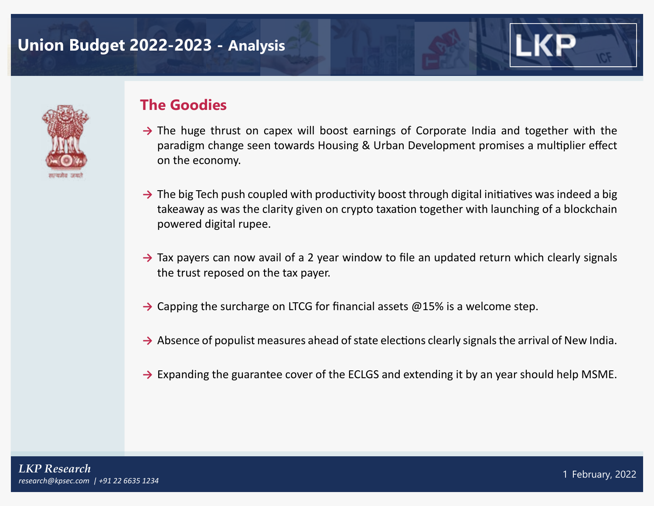# **Union Budget 2022-2023 - Analysis**



### **The Goodies**

- → The huge thrust on capex will boost earnings of Corporate India and together with the paradigm change seen towards Housing & Urban Development promises a multiplier effect on the economy.
- → The big Tech push coupled with productivity boost through digital initiatives was indeed a big takeaway as was the clarity given on crypto taxation together with launching of a blockchain powered digital rupee.
- → Tax payers can now avail of a 2 year window to file an updated return which clearly signals the trust reposed on the tax payer.
- → Capping the surcharge on LTCG for financial assets @15% is a welcome step.
- → Absence of populist measures ahead of state elections clearly signals the arrival of New India.
- **→** Expanding the guarantee cover of the ECLGS and extending it by an year should help MSME.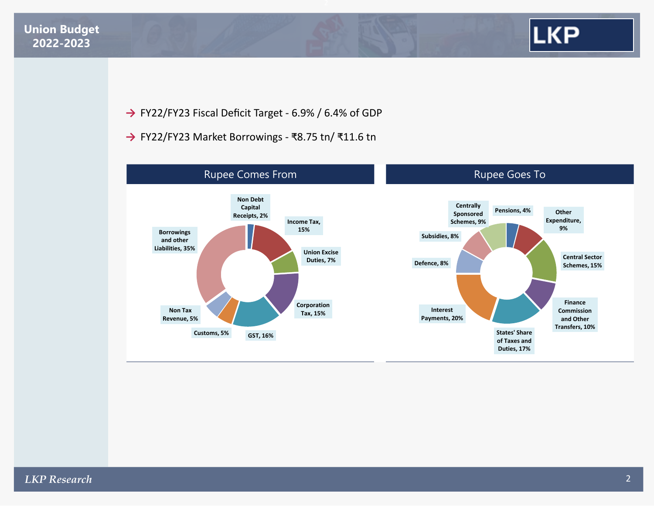

**→** FY22/FY23 Fiscal Deficit Target - 6.9% / 6.4% of GDP

**→** FY22/FY23 Market Borrowings - ₹8.75 tn/ ₹11.6 tn

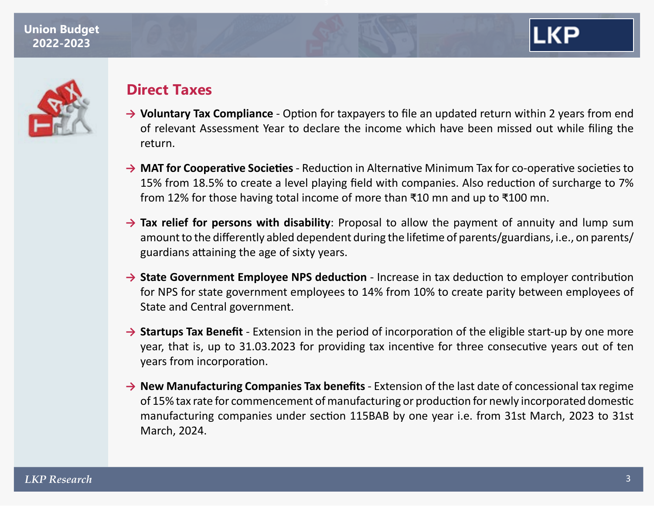



## **Direct Taxes**

- **→ Voluntary Tax Compliance** Option for taxpayers to file an updated return within 2 years from end of relevant Assessment Year to declare the income which have been missed out while filing the return.
- **→ MAT for Cooperative Societies** Reduction in Alternative Minimum Tax for co-operative societies to 15% from 18.5% to create a level playing field with companies. Also reduction of surcharge to 7% from 12% for those having total income of more than ₹10 mn and up to ₹100 mn.
- **→ Tax relief for persons with disability**: Proposal to allow the payment of annuity and lump sum amount to the differently abled dependent during the lifetime of parents/guardians, i.e., on parents/ guardians attaining the age of sixty years.
- **→ State Government Employee NPS deduction** Increase in tax deduction to employer contribution for NPS for state government employees to 14% from 10% to create parity between employees of State and Central government.
- → **Startups Tax Benefit** Extension in the period of incorporation of the eligible start-up by one more year, that is, up to 31.03.2023 for providing tax incentive for three consecutive years out of ten years from incorporation.
- **→ New Manufacturing Companies Tax benefits** Extension of the last date of concessional tax regime of 15% tax rate for commencement of manufacturing or production for newly incorporated domestic manufacturing companies under section 115BAB by one year i.e. from 31st March, 2023 to 31st March, 2024.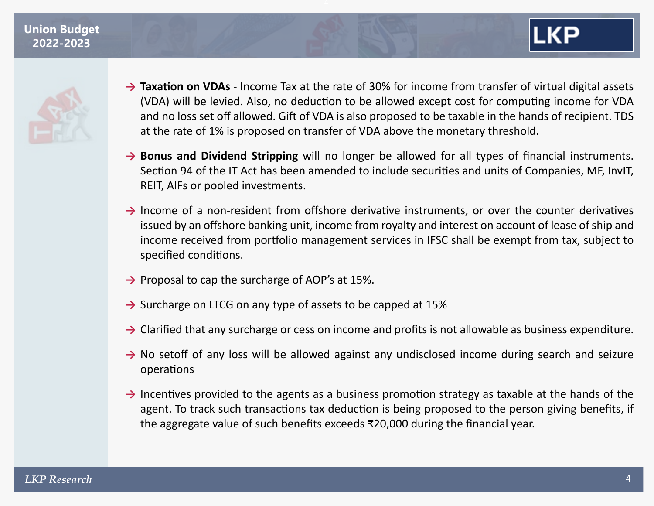

- → **Taxation on VDAs** Income Tax at the rate of 30% for income from transfer of virtual digital assets (VDA) will be levied. Also, no deduction to be allowed except cost for computing income for VDA and no loss set off allowed. Gift of VDA is also proposed to be taxable in the hands of recipient. TDS at the rate of 1% is proposed on transfer of VDA above the monetary threshold.
- → **Bonus and Dividend Stripping** will no longer be allowed for all types of financial instruments. Section 94 of the IT Act has been amended to include securities and units of Companies, MF, InvIT, REIT, AIFs or pooled investments.
- → Income of a non-resident from offshore derivative instruments, or over the counter derivatives issued by an offshore banking unit, income from royalty and interest on account of lease of ship and income received from portfolio management services in IFSC shall be exempt from tax, subject to specified conditions.
- → Proposal to cap the surcharge of AOP's at 15%.
- **→** Surcharge on LTCG on any type of assets to be capped at 15%
- → Clarified that any surcharge or cess on income and profits is not allowable as business expenditure.
- → No setoff of any loss will be allowed against any undisclosed income during search and seizure operations
- → Incentives provided to the agents as a business promotion strategy as taxable at the hands of the agent. To track such transactions tax deduction is being proposed to the person giving benefits, if the aggregate value of such benefits exceeds ₹20,000 during the financial year.

LKP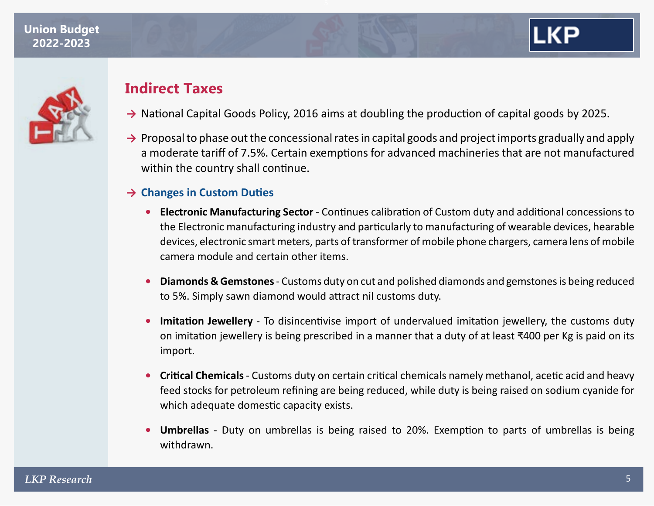

## **Indirect Taxes**

- → National Capital Goods Policy, 2016 aims at doubling the production of capital goods by 2025.
- **→** Proposal to phase out the concessional rates in capital goods and project imports gradually and apply a moderate tariff of 7.5%. Certain exemptions for advanced machineries that are not manufactured within the country shall continue.

### **→ Changes in Custom Duties**

- **• Electronic Manufacturing Sector** Continues calibration of Custom duty and additional concessions to the Electronic manufacturing industry and particularly to manufacturing of wearable devices, hearable devices, electronic smart meters, parts of transformer of mobile phone chargers, camera lens of mobile camera module and certain other items.
- **• Diamonds & Gemstones** Customs duty on cut and polished diamonds and gemstones is being reduced to 5%. Simply sawn diamond would attract nil customs duty.
- **• Imitation Jewellery** To disincentivise import of undervalued imitation jewellery, the customs duty on imitation jewellery is being prescribed in a manner that a duty of at least ₹400 per Kg is paid on its import.
- **• Critical Chemicals** Customs duty on certain critical chemicals namely methanol, acetic acid and heavy feed stocks for petroleum refining are being reduced, while duty is being raised on sodium cyanide for which adequate domestic capacity exists.
- **• Umbrellas** Duty on umbrellas is being raised to 20%. Exemption to parts of umbrellas is being withdrawn.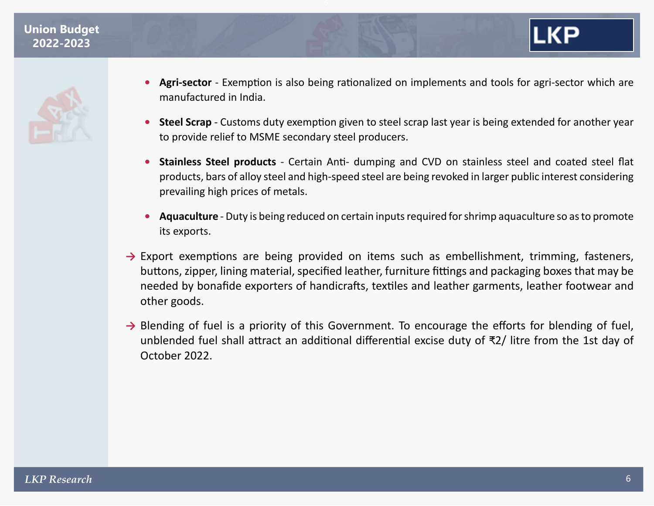

- **• Agri-sector** Exemption is also being rationalized on implements and tools for agri-sector which are manufactured in India.
- **• Steel Scrap**  Customs duty exemption given to steel scrap last year is being extended for another year to provide relief to MSME secondary steel producers.
- **• Stainless Steel products** Certain Anti- dumping and CVD on stainless steel and coated steel flat products, bars of alloy steel and high-speed steel are being revoked in larger public interest considering prevailing high prices of metals.
- **• Aquaculture** Duty is being reduced on certain inputs required for shrimp aquaculture so as to promote its exports.
- → Export exemptions are being provided on items such as embellishment, trimming, fasteners, buttons, zipper, lining material, specified leather, furniture fittings and packaging boxes that may be needed by bonafide exporters of handicrafts, textiles and leather garments, leather footwear and other goods.
- → Blending of fuel is a priority of this Government. To encourage the efforts for blending of fuel, unblended fuel shall attract an additional differential excise duty of ₹2/ litre from the 1st day of October 2022.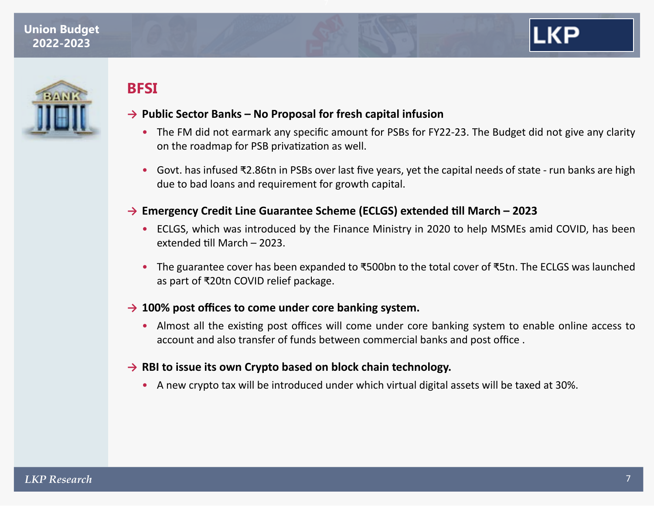



### **BFSI**

#### **→ Public Sector Banks – No Proposal for fresh capital infusion**

- The FM did not earmark any specific amount for PSBs for FY22-23. The Budget did not give any clarity on the roadmap for PSB privatization as well.
- Govt. has infused ₹2.86tn in PSBs over last five years, yet the capital needs of state run banks are high due to bad loans and requirement for growth capital.

#### **→ Emergency Credit Line Guarantee Scheme (ECLGS) extended till March – 2023**

- ECLGS, which was introduced by the Finance Ministry in 2020 to help MSMEs amid COVID, has been extended till March – 2023.
- The guarantee cover has been expanded to ₹500bn to the total cover of ₹5tn. The ECLGS was launched as part of ₹20tn COVID relief package.

#### **→ 100% post offices to come under core banking system.**

• Almost all the existing post offices will come under core banking system to enable online access to account and also transfer of funds between commercial banks and post office .

#### **→ RBI to issue its own Crypto based on block chain technology.**

• A new crypto tax will be introduced under which virtual digital assets will be taxed at 30%.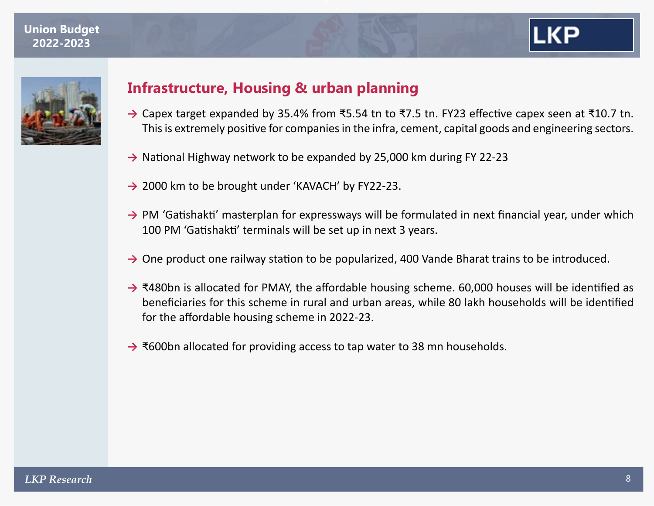



## **Infrastructure, Housing & urban planning**

- **→** Capex target expanded by 35.4% from ₹5.54 tn to ₹7.5 tn. FY23 effective capex seen at ₹10.7 tn. This is extremely positive for companies in the infra, cement, capital goods and engineering sectors.
- → National Highway network to be expanded by 25,000 km during FY 22-23
- → 2000 km to be brought under 'KAVACH' by FY22-23.
- → PM 'Gatishakti' masterplan for expressways will be formulated in next financial year, under which 100 PM 'Gatishakti' terminals will be set up in next 3 years.
- → One product one railway station to be popularized, 400 Vande Bharat trains to be introduced.
- **→** ₹480bn is allocated for PMAY, the affordable housing scheme. 60,000 houses will be identified as beneficiaries for this scheme in rural and urban areas, while 80 lakh households will be identified for the affordable housing scheme in 2022-23.
- **→** ₹600bn allocated for providing access to tap water to 38 mn households.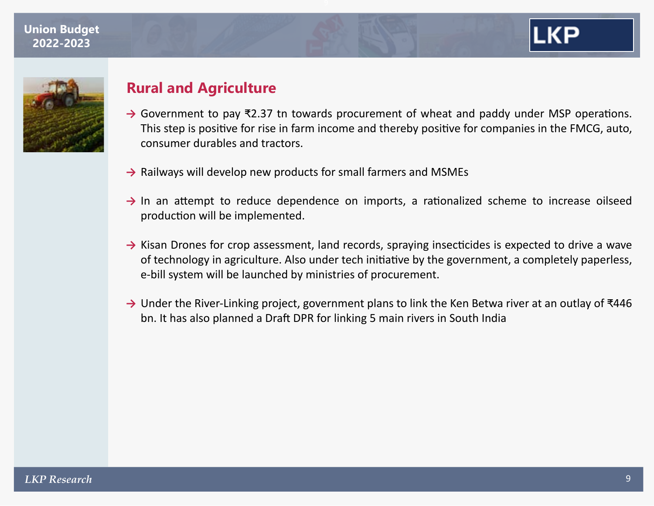



### **Rural and Agriculture**

- **→** Government to pay ₹2.37 tn towards procurement of wheat and paddy under MSP operations. This step is positive for rise in farm income and thereby positive for companies in the FMCG, auto, consumer durables and tractors.
- **→** Railways will develop new products for small farmers and MSMEs
- → In an attempt to reduce dependence on imports, a rationalized scheme to increase oilseed production will be implemented.
- **→** Kisan Drones for crop assessment, land records, spraying insecticides is expected to drive a wave of technology in agriculture. Also under tech initiative by the government, a completely paperless, e-bill system will be launched by ministries of procurement.
- **→** Under the River-Linking project, government plans to link the Ken Betwa river at an outlay of ₹446 bn. It has also planned a Draft DPR for linking 5 main rivers in South India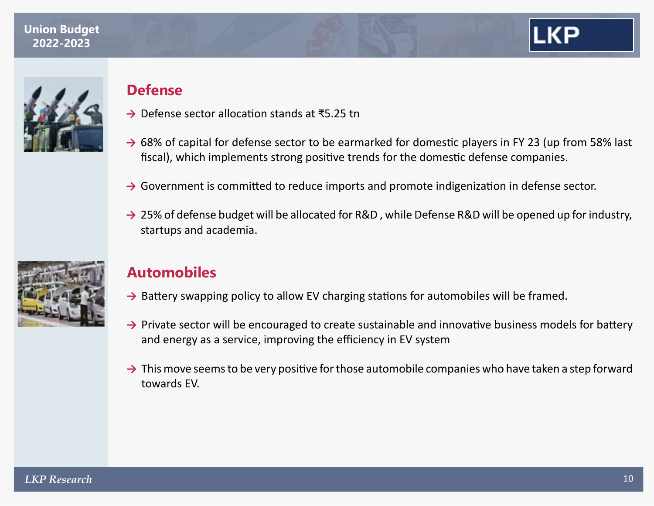



### **Defense**

- **→** Defense sector allocation stands at ₹5.25 tn
- → 68% of capital for defense sector to be earmarked for domestic players in FY 23 (up from 58% last fiscal), which implements strong positive trends for the domestic defense companies.
- → Government is committed to reduce imports and promote indigenization in defense sector.
- → 25% of defense budget will be allocated for R&D, while Defense R&D will be opened up for industry, startups and academia.



# **Automobiles**

- → Battery swapping policy to allow EV charging stations for automobiles will be framed.
- → Private sector will be encouraged to create sustainable and innovative business models for battery and energy as a service, improving the efficiency in EV system
- **→** This move seems to be very positive for those automobile companies who have taken a step forward towards EV.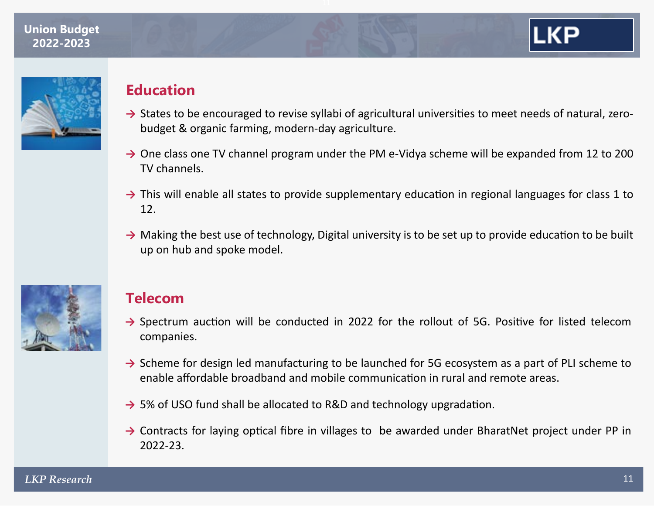



# **Education**

- → States to be encouraged to revise syllabi of agricultural universities to meet needs of natural, zerobudget & organic farming, modern-day agriculture.
- → One class one TV channel program under the PM e-Vidya scheme will be expanded from 12 to 200 TV channels.
- → This will enable all states to provide supplementary education in regional languages for class 1 to 12.
- → Making the best use of technology, Digital university is to be set up to provide education to be built up on hub and spoke model.



# **Telecom**

- → Spectrum auction will be conducted in 2022 for the rollout of 5G. Positive for listed telecom companies.
- **→** Scheme for design led manufacturing to be launched for 5G ecosystem as a part of PLI scheme to enable affordable broadband and mobile communication in rural and remote areas.
- → 5% of USO fund shall be allocated to R&D and technology upgradation.
- → Contracts for laying optical fibre in villages to be awarded under BharatNet project under PP in 2022-23.